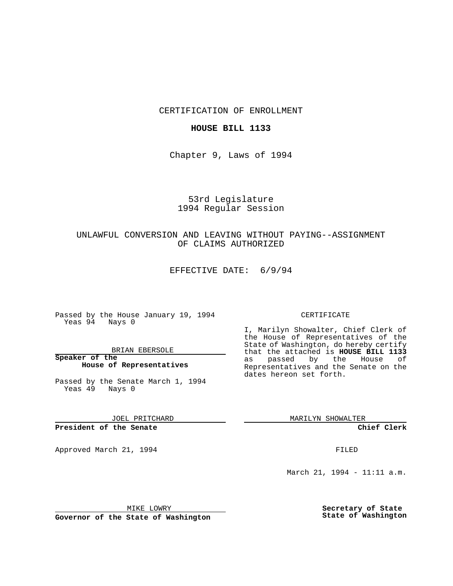CERTIFICATION OF ENROLLMENT

### **HOUSE BILL 1133**

Chapter 9, Laws of 1994

# 53rd Legislature 1994 Regular Session

## UNLAWFUL CONVERSION AND LEAVING WITHOUT PAYING--ASSIGNMENT OF CLAIMS AUTHORIZED

EFFECTIVE DATE: 6/9/94

Passed by the House January 19, 1994 Yeas 94 Nays 0

BRIAN EBERSOLE

**Speaker of the House of Representatives**

Passed by the Senate March 1, 1994 Yeas 49 Nays 0

JOEL PRITCHARD

**President of the Senate**

Approved March 21, 1994 **FILED** 

#### CERTIFICATE

I, Marilyn Showalter, Chief Clerk of the House of Representatives of the State of Washington, do hereby certify that the attached is **HOUSE BILL 1133** as passed by the House of Representatives and the Senate on the dates hereon set forth.

MARILYN SHOWALTER

**Chief Clerk**

March 21, 1994 - 11:11 a.m.

MIKE LOWRY

**Governor of the State of Washington**

**Secretary of State State of Washington**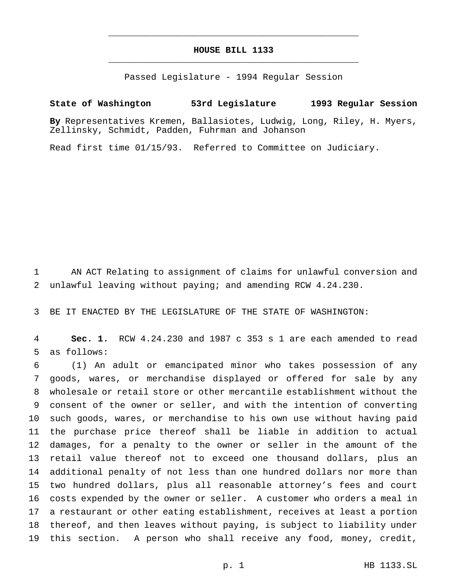## **HOUSE BILL 1133** \_\_\_\_\_\_\_\_\_\_\_\_\_\_\_\_\_\_\_\_\_\_\_\_\_\_\_\_\_\_\_\_\_\_\_\_\_\_\_\_\_\_\_\_\_\_\_

\_\_\_\_\_\_\_\_\_\_\_\_\_\_\_\_\_\_\_\_\_\_\_\_\_\_\_\_\_\_\_\_\_\_\_\_\_\_\_\_\_\_\_\_\_\_\_

Passed Legislature - 1994 Regular Session

## **State of Washington 53rd Legislature 1993 Regular Session**

**By** Representatives Kremen, Ballasiotes, Ludwig, Long, Riley, H. Myers, Zellinsky, Schmidt, Padden, Fuhrman and Johanson

Read first time 01/15/93. Referred to Committee on Judiciary.

 AN ACT Relating to assignment of claims for unlawful conversion and unlawful leaving without paying; and amending RCW 4.24.230.

BE IT ENACTED BY THE LEGISLATURE OF THE STATE OF WASHINGTON:

 **Sec. 1.** RCW 4.24.230 and 1987 c 353 s 1 are each amended to read as follows:

 (1) An adult or emancipated minor who takes possession of any goods, wares, or merchandise displayed or offered for sale by any wholesale or retail store or other mercantile establishment without the consent of the owner or seller, and with the intention of converting such goods, wares, or merchandise to his own use without having paid the purchase price thereof shall be liable in addition to actual damages, for a penalty to the owner or seller in the amount of the retail value thereof not to exceed one thousand dollars, plus an additional penalty of not less than one hundred dollars nor more than two hundred dollars, plus all reasonable attorney's fees and court costs expended by the owner or seller. A customer who orders a meal in a restaurant or other eating establishment, receives at least a portion thereof, and then leaves without paying, is subject to liability under this section. A person who shall receive any food, money, credit,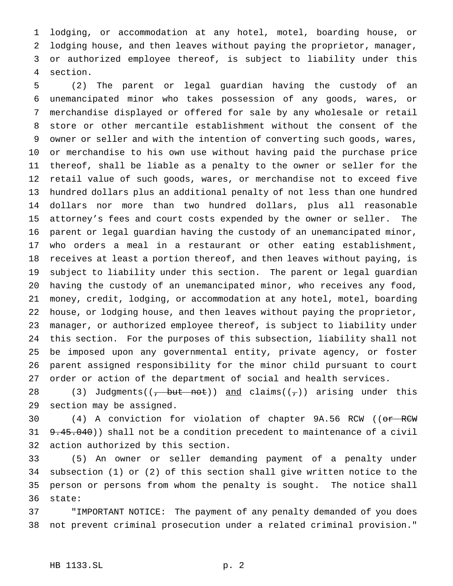lodging, or accommodation at any hotel, motel, boarding house, or lodging house, and then leaves without paying the proprietor, manager, or authorized employee thereof, is subject to liability under this section.

 (2) The parent or legal guardian having the custody of an unemancipated minor who takes possession of any goods, wares, or merchandise displayed or offered for sale by any wholesale or retail store or other mercantile establishment without the consent of the owner or seller and with the intention of converting such goods, wares, or merchandise to his own use without having paid the purchase price thereof, shall be liable as a penalty to the owner or seller for the retail value of such goods, wares, or merchandise not to exceed five hundred dollars plus an additional penalty of not less than one hundred dollars nor more than two hundred dollars, plus all reasonable attorney's fees and court costs expended by the owner or seller. The parent or legal guardian having the custody of an unemancipated minor, who orders a meal in a restaurant or other eating establishment, receives at least a portion thereof, and then leaves without paying, is subject to liability under this section. The parent or legal guardian having the custody of an unemancipated minor, who receives any food, money, credit, lodging, or accommodation at any hotel, motel, boarding house, or lodging house, and then leaves without paying the proprietor, manager, or authorized employee thereof, is subject to liability under this section. For the purposes of this subsection, liability shall not be imposed upon any governmental entity, private agency, or foster parent assigned responsibility for the minor child pursuant to court order or action of the department of social and health services.

28 (3) Judgments((<del>, but not</del>)) and claims(( $\tau$ )) arising under this section may be assigned.

30 (4) A conviction for violation of chapter 9A.56 RCW ((or RCW) 31 9.45.040)) shall not be a condition precedent to maintenance of a civil action authorized by this section.

 (5) An owner or seller demanding payment of a penalty under subsection (1) or (2) of this section shall give written notice to the person or persons from whom the penalty is sought. The notice shall state:

 "IMPORTANT NOTICE: The payment of any penalty demanded of you does not prevent criminal prosecution under a related criminal provision."